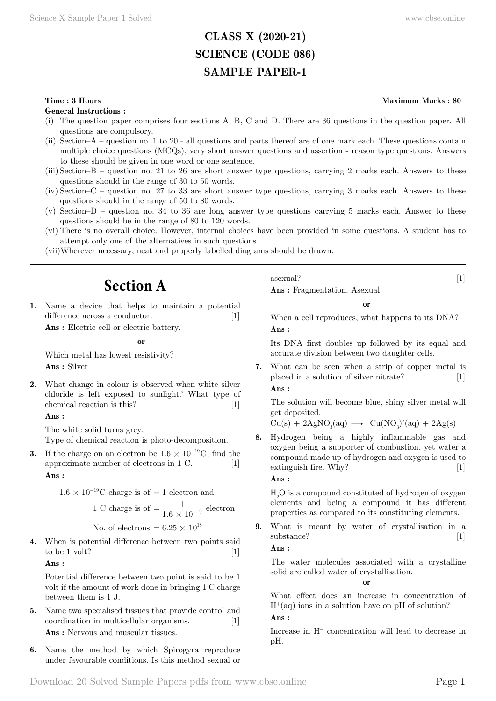# **CLASS X (2020-21) SCIENCE (CODE 086) SAMPLE PAPER-1**

#### **Time : 3 Hours Maximum Marks : 80**

**General Instructions :**

- (i) The question paper comprises four sections A, B, C and D. There are 36 questions in the question paper. All questions are compulsory.
- (ii) Section–A question no. 1 to 20 all questions and parts thereof are of one mark each. These questions contain multiple choice questions (MCQs), very short answer questions and assertion - reason type questions. Answers to these should be given in one word or one sentence.
- (iii) Section–B question no. 21 to 26 are short answer type questions, carrying 2 marks each. Answers to these questions should in the range of 30 to 50 words.
- (iv) Section–C question no. 27 to 33 are short answer type questions, carrying 3 marks each. Answers to these questions should in the range of 50 to 80 words.
- (v) Section–D question no. 34 to 36 are long answer type questions carrying 5 marks each. Answer to these questions should be in the range of 80 to 120 words.
- (vi) There is no overall choice. However, internal choices have been provided in some questions. A student has to attempt only one of the alternatives in such questions.
- (vii)Wherever necessary, neat and properly labelled diagrams should be drawn.

# **Section A**

**1.** Name a device that helps to maintain a potential difference across a conductor. [1]

 **Ans :** Electric cell or electric battery.

#### **o**

Which metal has lowest resistivity?  **Ans :** Silver

**2.** What change in colour is observed when white silver chloride is left exposed to sunlight? What type of chemical reaction is this? [1]

#### **Ans :**

The white solid turns grey. Type of chemical reaction is photo-decomposition.

**3.** If the charge on an electron be  $1.6 \times 10^{-19}$ C, find the approximate number of electrons in 1 C. [1]  **Ans :**

 $1.6 \times 10^{-19}$ C charge is of = 1 electron and

1 C charge is of 
$$
=
$$
  $\frac{1}{1.6 \times 10^{-19}}$  electron

No. of electrons =  $6.25 \times 10^{18}$ 

**4.** When is potential difference between two points said to be 1 volt?  $[1]$ 

#### **Ans :**

Potential difference between two point is said to be 1 volt if the amount of work done in bringing 1 C charge between them is 1 J.

- **5.** Name two specialised tissues that provide control and coordination in multicellular organisms. [1]  **Ans :** Nervous and muscular tissues.
- **6.** Name the method by which Spirogyra reproduce under favourable conditions. Is this method sexual or

asexual? [1]  **Ans :** Fragmentation. Asexual

 **o**

When a cell reproduces, what happens to its DNA?  **Ans :**

Its DNA first doubles up followed by its equal and accurate division between two daughter cells.

**7.** What can be seen when a strip of copper metal is placed in a solution of silver nitrate? [1]  **Ans :**

The solution will become blue, shiny silver metal will get deposited.

 $Cu(s) + 2AgNO<sub>3</sub>(aq) \longrightarrow Cu(NO<sub>3</sub>)<sup>2</sup>(aq) + 2Ag(s)$ 

**8.** Hydrogen being a highly inflammable gas and oxygen being a supporter of combustion, yet water a compound made up of hydrogen and oxygen is used to extinguish fire. Why? [1]

 **Ans :**

 $\rm H_2O$  is a compound constituted of hydrogen of oxygen elements and being a compound it has different properties as compared to its constituting elements.

**9.** What is meant by water of crystallisation in a substance? [1]

 **Ans :**

The water molecules associated with a crystalline solid are called water of crystallisation.

 **o**

What effect does an increase in concentration of  $H^+(aq)$  ions in a solution have on pH of solution?

#### **Ans :**

Increase in  $H^+$  concentration will lead to decrease in pH.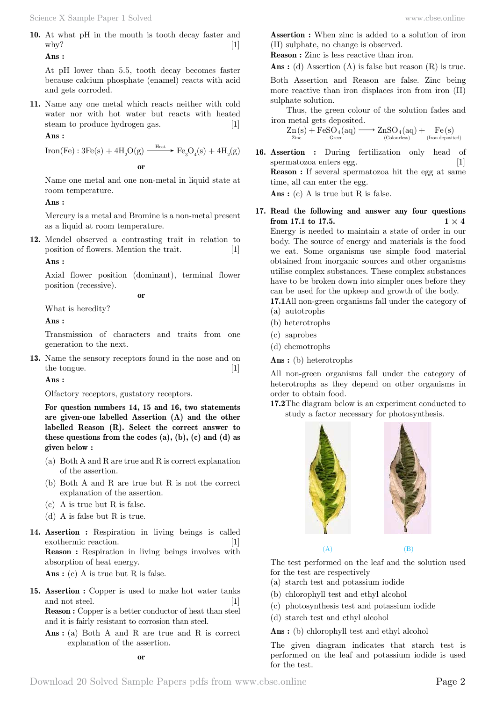**10.** At what pH in the mouth is tooth decay faster and why?  $[1]$ 

 **Ans :**

At pH lower than 5.5, tooth decay becomes faster because calcium phosphate (enamel) reacts with acid and gets corroded.

**11.** Name any one metal which reacts neither with cold water nor with hot water but reacts with heated steam to produce hydrogen gas. [1]

#### **Ans :**

Iron(Fe):  $3Fe(s) + 4H_2O(g) \xrightarrow{Heat} Fe_3O_4(s) + 4H_2(g)$ 

 **o**

Name one metal and one non-metal in liquid state at room temperature.

#### **Ans :**

Mercury is a metal and Bromine is a non-metal present as a liquid at room temperature.

**12.** Mendel observed a contrasting trait in relation to position of flowers. Mention the trait. [1]

 **Ans :**

Axial flower position (dominant), terminal flower position (recessive).

 **o**

What is heredity?

 **Ans :**

Transmission of characters and traits from one generation to the next.

**13.** Name the sensory receptors found in the nose and on the tongue.  $[1]$ 

 **Ans :**

Olfactory receptors, gustatory receptors.

**For question numbers 14, 15 and 16, two statements are given-one labelled Assertion (A) and the other labelled Reason (R). Select the correct answer to these questions from the codes (a), (b), (c) and (d) as given below :**

- (a) Both A and R are true and R is correct explanation of the assertion.
- (b) Both A and R are true but R is not the correct explanation of the assertion.
- (c) A is true but R is false.
- (d) A is false but R is true.
- **14. Assertion :** Respiration in living beings is called exothermic reaction. [1] **Reason :** Respiration in living beings involves with absorption of heat energy.

 **Ans :** (c) A is true but R is false.

- **15. Assertion :** Copper is used to make hot water tanks and not steel. [1] **Reason :** Copper is a better conductor of heat than steel and it is fairly resistant to corrosion than steel.
	- **Ans :** (a) Both A and R are true and R is correct explanation of the assertion.

**Assertion :** When zinc is added to a solution of iron (II) sulphate, no change is observed.

**Reason :** Zinc is less reactive than iron.

 **Ans :** (d) Assertion (A) is false but reason (R) is true.

Both Assertion and Reason are false. Zinc being more reactive than iron displaces iron from iron (II) sulphate solution.

Thus, the green colour of the solution fades and iron metal gets deposited.

 $Zn(s) + FeSO_4(aq) \longrightarrow ZnSO_4(aq) + Fe(s)$ <br>  $Zinc$  (Colourless) (Contensity (Iron deposity)  $($ Iron deposited $)$  $\rightarrow$  ZnSO<sub>4</sub>(aq) +

**16. Assertion :** During fertilization only head of spermatozoa enters egg. [1] **Reason :** If several spermatozoa hit the egg at same time, all can enter the egg.

 **Ans :** (c) A is true but R is false.

**17. Read the following and answer any four questions from 17.1 to 17.5. 1**  $\times$  **4** 

Energy is needed to maintain a state of order in our body. The source of energy and materials is the food we eat. Some organisms use simple food material obtained from inorganic sources and other organisms utilise complex substances. These complex substances have to be broken down into simpler ones before they can be used for the upkeep and growth of the body.

- **17.1**All non-green organisms fall under the category of
- (a) autotrophs
- (b) heterotrophs
- (c) saprobes
- (d) chemotrophs
- **Ans :** (b) heterotrophs

All non-green organisms fall under the category of heterotrophs as they depend on other organisms in order to obtain food.

**17.2**The diagram below is an experiment conducted to study a factor necessary for photosynthesis.



#### $(A)$  (B)

The test performed on the leaf and the solution used for the test are respectively

- (a) starch test and potassium iodide
- (b) chlorophyll test and ethyl alcohol
- (c) photosynthesis test and potassium iodide
- (d) starch test and ethyl alcohol

 **Ans :** (b) chlorophyll test and ethyl alcohol

The given diagram indicates that starch test is performed on the leaf and potassium iodide is used for the test.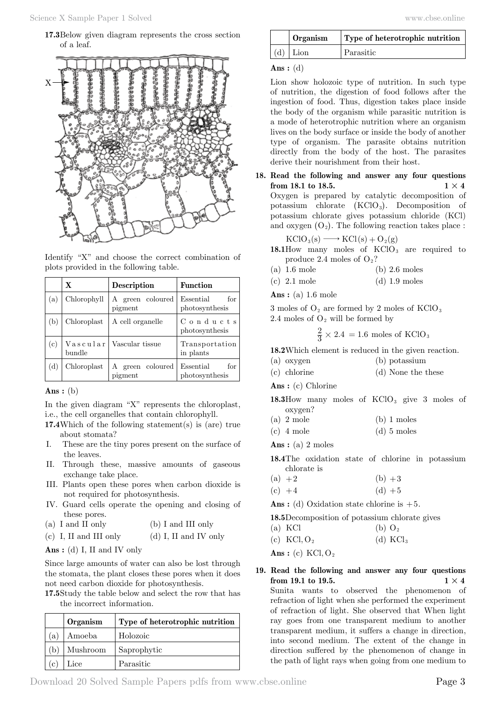**17.3**Below given diagram represents the cross section of a leaf.



Identify "X" and choose the correct combination of plots provided in the following table.

|     | $\mathbf x$ | Description                 | <b>Function</b>                             |
|-----|-------------|-----------------------------|---------------------------------------------|
| (a) | Chlorophyll | A green coloured<br>pigment | for<br>Essential<br>photosynthesis          |
| (b) | Chloroplast | A cell organelle            | $\mathrm C$ o n d u c t s<br>photosynthesis |
| (c) | bundle      | Vascular   Vascular tissue  | Transportation<br>in plants                 |
| (d) | Chloroplast | A green coloured<br>pigment | for<br>Essential<br>photosynthesis          |

#### **Ans :** (b)

In the given diagram "X" represents the chloroplast, i.e., the cell organelles that contain chlorophyll.

- **17.4**Which of the following statement(s) is (are) true about stomata?
- I. These are the tiny pores present on the surface of the leaves.
- II. Through these, massive amounts of gaseous exchange take place.
- III. Plants open these pores when carbon dioxide is not required for photosynthesis.
- IV. Guard cells operate the opening and closing of these pores.
- (a) I and II only (b) I and III only
- (c) I, II and III only  $\qquad$  (d) I, II and IV only

### **Ans :** (d) I, II and IV only

Since large amounts of water can also be lost through the stomata, the plant closes these pores when it does not need carbon dioxide for photosynthesis.

**17.5**Study the table below and select the row that has the incorrect information.

|     | Organism | Type of heterotrophic nutrition |
|-----|----------|---------------------------------|
| (a) | Amoeba   | Holozoic                        |
| (b) | Mushroom | Saprophytic                     |
| (c  | Lice     | Parasitic                       |

| www.cbse.online |  |  |
|-----------------|--|--|
|-----------------|--|--|

| $\overline{\phantom{a}}$ Organism | Type of heterotrophic nutrition |
|-----------------------------------|---------------------------------|
| $(d)$ Lion                        | l Parasitic                     |

#### **Ans :** (d)

Lion show holozoic type of nutrition. In such type of nutrition, the digestion of food follows after the ingestion of food. Thus, digestion takes place inside the body of the organism while parasitic nutrition is a mode of heterotrophic nutrition where an organism lives on the body surface or inside the body of another type of organism. The parasite obtains nutrition directly from the body of the host. The parasites derive their nourishment from their host.

**18. Read the following and answer any four questions from 18.1 to 18.5. 1**  $\times$  **4** Oxygen is prepared by catalytic decomposition of potassium chlorate  $(KClO<sub>3</sub>)$ . Decomposition of potassium chlorate gives potassium chloride (KCl) and oxygen  $(O_2)$ . The following reaction takes place :

$$
KClO_3(s) \longrightarrow KCl(s) + O_2(g)
$$

- 18.1How many moles of KClO<sub>3</sub> are required to produce 2.4 moles of  $O_2$ ?
- (a)  $1.6 \text{ mole}$  (b)  $2.6 \text{ moles}$
- (c) 2.1 mole (d) 1.9 moles
- **Ans :** (a) 1.6 mole

3 moles of  $O_2$  are formed by 2 moles of  $KClO_3$ 2.4 moles of  $O<sub>2</sub>$  will be formed by

 $\frac{2}{3} \times 2.4 = 1.6$  moles of KClO<sub>3</sub>

**18.2**Which element is reduced in the given reaction.

- (a) oxygen (b) potassium
- (c) chlorine (d) None the these

 **Ans :** (c) Chlorine

18.3How many moles of KClO<sub>3</sub> give 3 moles of oxygen?

- (a)  $2 \text{ mole}$  (b)  $1 \text{ moles}$
- (c)  $4 \text{ mole}$  (d)  $5 \text{ moles}$

 **Ans :** (a) 2 moles

**18.4**The oxidation state of chlorine in potassium chlorate is

- (a)  $+2$  (b)  $+3$
- (c)  $+4$  (d)  $+5$

 **Ans :** (d) Oxidation state chlorine is +5.

**18.5**Decomposition of potassium chlorate gives

(a) KCl (b)  $O_2$ 

(c)  $KCl, O_2$  (d)  $KCl_3$ 

 $Ans: (c) KCl, O<sub>2</sub>$ 

**19. Read the following and answer any four questions from 19.1 to 19.5. 1**  $\times$  **4** Sunita wants to observed the phenomenon of refraction of light when she performed the experiment of refraction of light. She observed that When light ray goes from one transparent medium to another transparent medium, it suffers a change in direction, into second medium. The extent of the change in direction suffered by the phenomenon of change in the path of light rays when going from one medium to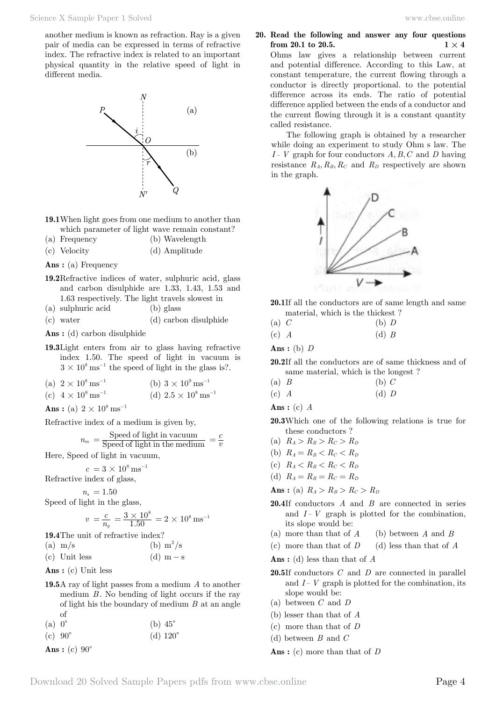another medium is known as refraction. Ray is a given pair of media can be expressed in terms of refractive index. The refractive index is related to an important physical quantity in the relative speed of light in different media.



**19.1**When light goes from one medium to another than which parameter of light wave remain constant?

- (a) Frequency (b) Wavelength
- (c) Velocity (d) Amplitude

 **Ans :** (a) Frequency

- **19.2**Refractive indices of water, sulphuric acid, glass and carbon disulphide are 1.33, 1.43, 1.53 and 1.63 respectively. The light travels slowest in
- (a) sulphuric acid (b) glass
- (c) water (d) carbon disulphide
- **Ans :** (d) carbon disulphide
- **19.3**Light enters from air to glass having refractive index 1.50. The speed of light in vacuum is  $3 \times 10^8 \,\mathrm{ms}^{-1}$  the speed of light in the glass is?.
- (a)  $2 \times 10^8 \text{ ms}^{-1}$  (b)  $3 \times 10^9 \text{ ms}^{-1}$

(c) 
$$
4 \times 10^8 \text{ ms}^{-1}
$$
 (d)  $2.5 \times 10^8 \text{ ms}^{-1}$ 

**Ans**: (a)  $2 \times 10^8 \text{ ms}^{-1}$ 

Refractive index of a medium is given by,

$$
n_m = \frac{\text{Speed of light in vacuum}}{\text{Speed of light in the medium}} = \frac{c}{v}
$$

Here, Speed of light in vacuum,

 $c = 3 \times 10^8 \,\text{ms}^{-1}$ 

$$
\\ \hspace{0.0cm} \textbf{Refractive index of glass,}
$$

 $n_s = 1.50$ Speed of light in the glass,

$$
v = \frac{c}{n_g} = \frac{3 \times 10^8}{1.50} = 2 \times 10^8 \,\text{ms}^{-1}
$$

**19.4**The unit of refractive index?

$$
(a) m/s \t\t (b) m2/s
$$

(c) Unit less  $(d)$  m  $-$  s

- **Ans :** (c) Unit less
- **19.5**A ray of light passes from a medium *A* to another medium *B*. No bending of light occurs if the ray of light his the boundary of medium *B* at an angle of<br> $\alpha$  o<sup>o</sup>

(a) 
$$
0^{\circ}
$$
 (b)  $45^{\circ}$ 

(c) 
$$
90^{\circ}
$$
 (d)  $120^{\circ}$ 

Ans: (c) 
$$
90^{\circ}
$$

**20. Read the following and answer any four questions from 20.1 to 20.5. 1**  $\times$  **4** 

Ohms law gives a relationship between current and potential difference. According to this Law, at constant temperature, the current flowing through a conductor is directly proportional. to the potential difference across its ends. The ratio of potential difference applied between the ends of a conductor and the current flowing through it is a constant quantity called resistance.

The following graph is obtained by a researcher while doing an experiment to study Ohm s law. The  $I - V$  graph for four conductors  $A, B, C$  and  $D$  having resistance  $R_A, R_B, R_C$  and  $R_D$  respectively are shown in the graph.



- **20.1**If all the conductors are of same length and same material, which is the thickest ?
- (a) *C* (b) *D* (c) *A* (d) *B*

 **Ans :** (b) *D*

**20.2**If all the conductors are of same thickness and of same material, which is the longest ?

$$
(a) \tB \t\t (b) C
$$

$$
(c) A \t\t (d) D
$$

 **Ans :** (c) *A*

- **20.3**Which one of the following relations is true for these conductors ?
- (a)  $R_A > R_B > R_C > R_D$

(b) 
$$
R_A = R_B < R_C < R_D
$$

- (c)  $R_A < R_B < R_C < R_D$
- (d)  $R_A = R_B = R_C = R_D$

**Ans**: (a)  $R_A > R_B > R_C > R_D$ 

- **20.4**If conductors *A* and *B* are connected in series and  $I - V$  graph is plotted for the combination, its slope would be:
- (a) more than that of *A* (b) between *A* and *B*
- (c) more than that of *D* (d) less than that of *A*
- **Ans :** (d) less than that of *A*
- **20.5**If conductors *C* and *D* are connected in parallel and  $I - V$  graph is plotted for the combination, its slope would be:
- (a) between *C* and *D*
- (b) lesser than that of *A*
- (c) more than that of *D*
- (d) between *B* and *C*

 **Ans :** (c) more than that of *D*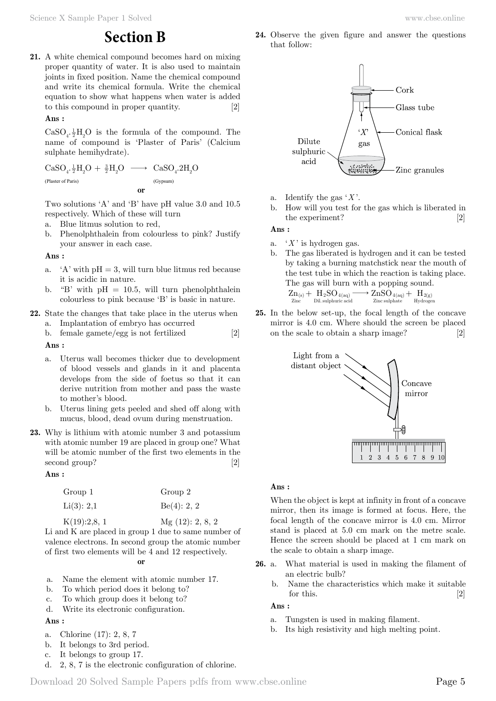**21.** A white chemical compound becomes hard on mixing proper quantity of water. It is also used to maintain joints in fixed position. Name the chemical compound and write its chemical formula. Write the chemical equation to show what happens when water is added to this compound in proper quantity. [2]

#### **Ans :**

 $\rm CaSO_{4}.\frac{1}{2}H_{2}O$  is the formula of the compound. The name of compound is 'Plaster of Paris' (Calcium sulphate hemihydrate).

$$
\begin{array}{ccc}\mathrm{CaSO}_{4}\cdot\frac{1}{2}H_{2}O&\stackrel{3}{\longrightarrow}&\mathrm{CaSO}_{4}\cdot2H_{2}O\\ \text{\tiny (Plaster of Paris)}&\text{\tiny (Gypsum)}\\ \text{\tiny{or}}&\text{\tiny{or}}\end{array}
$$

Two solutions 'A' and 'B' have pH value 3.0 and 10.5 respectively. Which of these will turn

- a. Blue litmus solution to red,
- b. Phenolphthalein from colourless to pink? Justify your answer in each case.

#### **Ans :**

- a. 'A' with  $pH = 3$ , will turn blue litmus red because it is acidic in nature.
- b. "B' with  $pH = 10.5$ , will turn phenolphthalein colourless to pink because 'B' is basic in nature.
- **22.** State the changes that take place in the uterus when
	- a. Implantation of embryo has occurred
	- b. female gamete/egg is not fertilized [2]

 **Ans :**

- a. Uterus wall becomes thicker due to development of blood vessels and glands in it and placenta develops from the side of foetus so that it can derive nutrition from mother and pass the waste to mother's blood.
- b. Uterus lining gets peeled and shed off along with mucus, blood, dead ovum during menstruation.
- **23.** Why is lithium with atomic number 3 and potassium with atomic number 19 are placed in group one? What will be atomic number of the first two elements in the second group? [2]

#### **Ans :**

| Group 1                                                                                                                                                                                                                                                                                                                            | Group 2        |
|------------------------------------------------------------------------------------------------------------------------------------------------------------------------------------------------------------------------------------------------------------------------------------------------------------------------------------|----------------|
| Li(3): 2,1                                                                                                                                                                                                                                                                                                                         | Be(4): 2, 2    |
| $\mathbf{r}$ $\mathbf{r}$ $\mathbf{r}$ $\mathbf{r}$ $\mathbf{r}$ $\mathbf{r}$ $\mathbf{r}$ $\mathbf{r}$ $\mathbf{r}$ $\mathbf{r}$ $\mathbf{r}$ $\mathbf{r}$ $\mathbf{r}$ $\mathbf{r}$ $\mathbf{r}$ $\mathbf{r}$ $\mathbf{r}$ $\mathbf{r}$ $\mathbf{r}$ $\mathbf{r}$ $\mathbf{r}$ $\mathbf{r}$ $\mathbf{r}$ $\mathbf{r}$ $\mathbf{$ | $(1 - \alpha)$ |

K(19):2,8, 1 Mg (12): 2, 8, 2 Li and K are placed in group 1 due to same number of valence electrons. In second group the atomic number of first two elements will be 4 and 12 respectively.

 **o**

- a. Name the element with atomic number 17.
- b. To which period does it belong to?
- c. To which group does it belong to?
- d. Write its electronic configuration.

### **Ans :**

- a. Chlorine (17): 2, 8, 7
- b. It belongs to 3rd period.
- c. It belongs to group 17.
- d. 2, 8, 7 is the electronic configuration of chlorine.

**24.** Observe the given figure and answer the questions that follow:



- a. Identify the gas '*X* '.
- b. How will you test for the gas which is liberated in the experiment? [2]

#### **Ans :**

- a.  $'X'$  is hydrogen gas.
- b. The gas liberated is hydrogen and it can be tested by taking a burning matchstick near the mouth of the test tube in which the reaction is taking place. The gas will burn with a popping sound.

$$
\underset{\mathrm{Zinc}}{Zn_{(s)}} + \underset{\mathrm{Dil.\,subphuric\,acid}}{H_2SO_{4(aq)}} \longrightarrow \underset{\mathrm{Zinc\,subphate}}{ZnSO_{4(aq)}} + \underset{\mathrm{Hydroger}}{H_{2(g)}}
$$

**25.** In the below set-up, the focal length of the concave mirror is 4.0 cm. Where should the screen be placed on the scale to obtain a sharp image? [2]



#### **Ans :**

When the object is kept at infinity in front of a concave mirror, then its image is formed at focus. Here, the focal length of the concave mirror is 4.0 cm. Mirror stand is placed at 5.0 cm mark on the metre scale. Hence the screen should be placed at 1 cm mark on the scale to obtain a sharp image.

- **26.** a. What material is used in making the filament of an electric bulb?
	- b. Name the characteristics which make it suitable for this.  $[2]$

#### **Ans :**

- a. Tungsten is used in making filament.
- b. Its high resistivity and high melting point.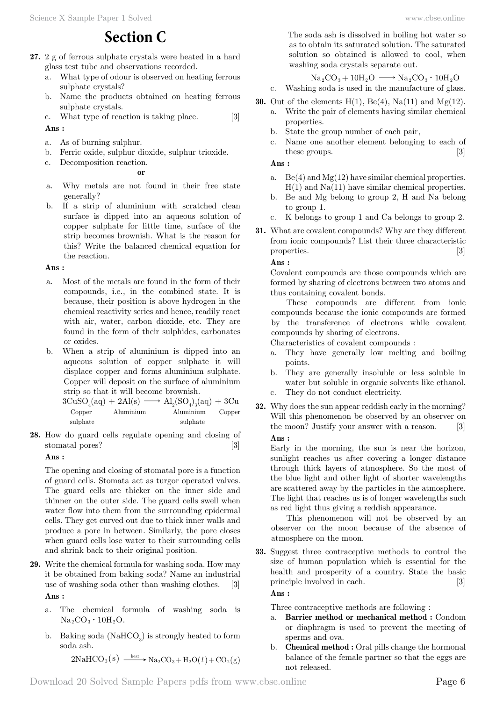# **Section C**

- **27.** 2 g of ferrous sulphate crystals were heated in a hard glass test tube and observations recorded.
	- a. What type of odour is observed on heating ferrous sulphate crystals?
	- b. Name the products obtained on heating ferrous sulphate crystals.
	- c. What type of reaction is taking place. [3]

### **Ans :**

- a. As of burning sulphur.
- b. Ferric oxide, sulphur dioxide, sulphur trioxide.

 **o**

c. Decomposition reaction.

- a. Why metals are not found in their free state generally?
- b. If a strip of aluminium with scratched clean surface is dipped into an aqueous solution of copper sulphate for little time, surface of the strip becomes brownish. What is the reason for this? Write the balanced chemical equation for the reaction.

#### **Ans :**

- a. Most of the metals are found in the form of their compounds, i.e., in the combined state. It is because, their position is above hydrogen in the chemical reactivity series and hence, readily react with air, water, carbon dioxide, etc. They are found in the form of their sulphides, carbonates or oxides.
- b. When a strip of aluminium is dipped into an aqueous solution of copper sulphate it will displace copper and forms aluminium sulphate. Copper will deposit on the surface of aluminium strip so that it will become brownish.

 $3CuSO<sub>4</sub>(aq) + 2Al(s) \longrightarrow Al<sub>2</sub>(SO<sub>4</sub>)<sub>3</sub>(aq) + 3Cu$  Copper Aluminium Aluminium Copper sulphate sulphate sulphate

**28.** How do guard cells regulate opening and closing of stomatal pores? [3]

### **Ans :**

The opening and closing of stomatal pore is a function of guard cells. Stomata act as turgor operated valves. The guard cells are thicker on the inner side and thinner on the outer side. The guard cells swell when water flow into them from the surrounding epidermal cells. They get curved out due to thick inner walls and produce a pore in between. Similarly, the pore closes when guard cells lose water to their surrounding cells and shrink back to their original position.

- **29.** Write the chemical formula for washing soda. How may it be obtained from baking soda? Name an industrial use of washing soda other than washing clothes. [3]  **Ans :**
	- a. The chemical formula of washing soda is  $Na<sub>2</sub>CO<sub>3</sub> \cdot 10H<sub>2</sub>O.$
	- b. Baking soda  $(NaHCO<sub>3</sub>)$  is strongly heated to form soda ash.

 $2 \text{NaHCO}_3\text{(s)} \xrightarrow{\text{ heat}} \text{Na}_2\text{CO}_3 + \text{H}_2\text{O}(l) + \text{CO}_2(\text{g})$ 

The soda ash is dissolved in boiling hot water so as to obtain its saturated solution. The saturated solution so obtained is allowed to cool, when washing soda crystals separate out.

# $\mathrm{Na_{2}CO_{3}+10H_{2}O} \longrightarrow \mathrm{Na_{2}CO_{3}\cdot 10H_{2}O}$

- c. Washing soda is used in the manufacture of glass.
- **30.** Out of the elements  $H(1)$ ,  $Be(4)$ ,  $Na(11)$  and  $Mg(12)$ . a. Write the pair of elements having similar chemical properties.
	- b. State the group number of each pair,
	- c. Name one another element belonging to each of these groups. [3]

 **Ans :**

- a. Be(4) and  $Mg(12)$  have similar chemical properties.  $H(1)$  and  $Na(11)$  have similar chemical properties.
- b. Be and Mg belong to group 2, H and Na belong to group 1.
- c. K belongs to group 1 and Ca belongs to group 2.
- **31.** What are covalent compounds? Why are they different from ionic compounds? List their three characteristic properties. [3]

 **Ans :**

Covalent compounds are those compounds which are formed by sharing of electrons between two atoms and thus containing covalent bonds.

These compounds are different from ionic compounds because the ionic compounds are formed by the transference of electrons while covalent compounds by sharing of electrons.

Characteristics of covalent compounds :

- a. They have generally low melting and boiling points.
- b. They are generally insoluble or less soluble in water but soluble in organic solvents like ethanol. c. They do not conduct electricity.
- 
- **32.** Why does the sun appear reddish early in the morning? Will this phenomenon be observed by an observer on the moon? Justify your answer with a reason. [3]  **Ans :**

Early in the morning, the sun is near the horizon, sunlight reaches us after covering a longer distance through thick layers of atmosphere. So the most of the blue light and other light of shorter wavelengths are scattered away by the particles in the atmosphere. The light that reaches us is of longer wavelengths such as red light thus giving a reddish appearance.

This phenomenon will not be observed by an observer on the moon because of the absence of atmosphere on the moon.

**33.** Suggest three contraceptive methods to control the size of human population which is essential for the health and prosperity of a country. State the basic principle involved in each. [3]

 **Ans :**

Three contraceptive methods are following :

- a. **Barrier method or mechanical method :** Condom or diaphragm is used to prevent the meeting of sperms and ova.
- b. **Chemical method :** Oral pills change the hormonal balance of the female partner so that the eggs are not released.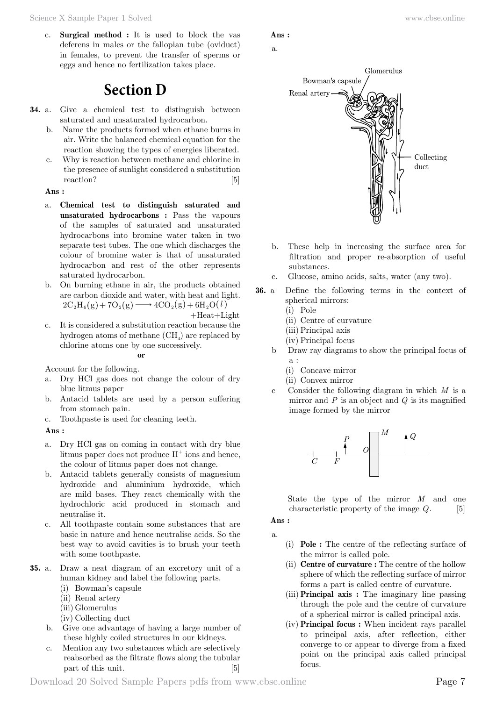c. **Surgical method :** It is used to block the vas deferens in males or the fallopian tube (oviduct) in females, to prevent the transfer of sperms or eggs and hence no fertilization takes place.

# **Section D**

- **34.** a. Give a chemical test to distinguish between saturated and unsaturated hydrocarbon.
	- b. Name the products formed when ethane burns in air. Write the balanced chemical equation for the reaction showing the types of energies liberated.
	- c. Why is reaction between methane and chlorine in the presence of sunlight considered a substitution reaction? [5]

#### **Ans :**

- a. **Chemical test to distinguish saturated and unsaturated hydrocarbons :** Pass the vapours of the samples of saturated and unsaturated hydrocarbons into bromine water taken in two separate test tubes. The one which discharges the colour of bromine water is that of unsaturated hydrocarbon and rest of the other represents saturated hydrocarbon.
- b. On burning ethane in air, the products obtained are carbon dioxide and water, with heat and light.  $2 C_2 H_6(g) + 7 O_2(g) \longrightarrow 4CO_2(g) + 6 H_2 O(l)$
- $+Heat+Light$ c. It is considered a substitution reaction because the hydrogen atoms of methane  ${\rm (CH_4)}$  are replaced by chlorine atoms one by one successively.

 **o**

Account for the following.

- a. Dry HCl gas does not change the colour of dry blue litmus paper
- b. Antacid tablets are used by a person suffering from stomach pain.
- c. Toothpaste is used for cleaning teeth.

#### **Ans :**

- a. Dry HCl gas on coming in contact with dry blue litmus paper does not produce  $H^+$  ions and hence, the colour of litmus paper does not change.
- b. Antacid tablets generally consists of magnesium hydroxide and aluminium hydroxide, which are mild bases. They react chemically with the hydrochloric acid produced in stomach and neutralise it.
- c. All toothpaste contain some substances that are basic in nature and hence neutralise acids. So the best way to avoid cavities is to brush your teeth with some toothpaste.
- **35.** a. Draw a neat diagram of an excretory unit of a human kidney and label the following parts.
	- (i) Bowman's capsule
	- (ii) Renal artery
	- (iii) Glomerulus
	- (iv) Collecting duct
	- b. Give one advantage of having a large number of these highly coiled structures in our kidneys.
	- c. Mention any two substances which are selectively reabsorbed as the filtrate flows along the tubular part of this unit. [5]

## **Ans :**

# a.



- b. These help in increasing the surface area for filtration and proper re-absorption of useful substances.
- c. Glucose, amino acids, salts, water (any two).
- **36.** a Define the following terms in the context of spherical mirrors:
	- (i) Pole
	- (ii) Centre of curvature
	- (iii) Principal axis
	- (iv) Principal focus
	- b Draw ray diagrams to show the principal focus of a :
		- (i) Concave mirror
		- (ii) Convex mirror
	- c Consider the following diagram in which *M* is a mirror and *P* is an object and *Q* is its magnified image formed by the mirror



State the type of the mirror *M* and one characteristic property of the image *Q*. [5]

### **Ans :**

- a.
- (i) **Pole :** The centre of the reflecting surface of the mirror is called pole.
- (ii) **Centre of curvature :** The centre of the hollow sphere of which the reflecting surface of mirror forms a part is called centre of curvature.
- (iii) **Principal axis :** The imaginary line passing through the pole and the centre of curvature of a spherical mirror is called principal axis.
- (iv) **Principal focus :** When incident rays parallel to principal axis, after reflection, either converge to or appear to diverge from a fixed point on the principal axis called principal focus.